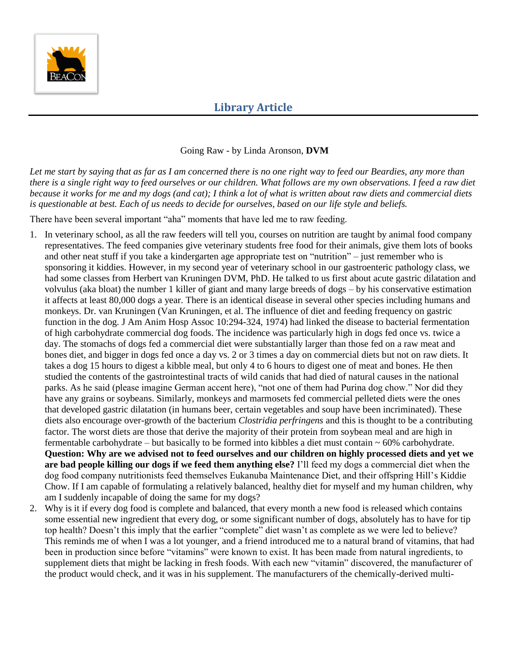

#### Going Raw - by Linda Aronson, **DVM**

*Let me start by saying that as far as I am concerned there is no one right way to feed our Beardies, any more than there is a single right way to feed ourselves or our children. What follows are my own observations. I feed a raw diet because it works for me and my dogs (and cat); I think a lot of what is written about raw diets and commercial diets is questionable at best. Each of us needs to decide for ourselves, based on our life style and beliefs.* 

There have been several important "aha" moments that have led me to raw feeding.

- 1. In veterinary school, as all the raw feeders will tell you, courses on nutrition are taught by animal food company representatives. The feed companies give veterinary students free food for their animals, give them lots of books and other neat stuff if you take a kindergarten age appropriate test on "nutrition" – just remember who is sponsoring it kiddies. However, in my second year of veterinary school in our gastroenteric pathology class, we had some classes from Herbert van Kruningen DVM, PhD. He talked to us first about acute gastric dilatation and volvulus (aka bloat) the number 1 killer of giant and many large breeds of dogs – by his conservative estimation it affects at least 80,000 dogs a year. There is an identical disease in several other species including humans and monkeys. Dr. van Kruningen (Van Kruningen, et al. The influence of diet and feeding frequency on gastric function in the dog. J Am Anim Hosp Assoc 10:294-324, 1974) had linked the disease to bacterial fermentation of high carbohydrate commercial dog foods. The incidence was particularly high in dogs fed once vs. twice a day. The stomachs of dogs fed a commercial diet were substantially larger than those fed on a raw meat and bones diet, and bigger in dogs fed once a day vs. 2 or 3 times a day on commercial diets but not on raw diets. It takes a dog 15 hours to digest a kibble meal, but only 4 to 6 hours to digest one of meat and bones. He then studied the contents of the gastrointestinal tracts of wild canids that had died of natural causes in the national parks. As he said (please imagine German accent here), "not one of them had Purina dog chow." Nor did they have any grains or soybeans. Similarly, monkeys and marmosets fed commercial pelleted diets were the ones that developed gastric dilatation (in humans beer, certain vegetables and soup have been incriminated). These diets also encourage over-growth of the bacterium *Clostridia perfringens* and this is thought to be a contributing factor. The worst diets are those that derive the majority of their protein from soybean meal and are high in fermentable carbohydrate – but basically to be formed into kibbles a diet must contain  $\sim 60\%$  carbohydrate. **Question: Why are we advised not to feed ourselves and our children on highly processed diets and yet we are bad people killing our dogs if we feed them anything else?** I'll feed my dogs a commercial diet when the dog food company nutritionists feed themselves Eukanuba Maintenance Diet, and their offspring Hill's Kiddie Chow. If I am capable of formulating a relatively balanced, healthy diet for myself and my human children, why am I suddenly incapable of doing the same for my dogs?
- 2. Why is it if every dog food is complete and balanced, that every month a new food is released which contains some essential new ingredient that every dog, or some significant number of dogs, absolutely has to have for tip top health? Doesn't this imply that the earlier "complete" diet wasn't as complete as we were led to believe? This reminds me of when I was a lot younger, and a friend introduced me to a natural brand of vitamins, that had been in production since before "vitamins" were known to exist. It has been made from natural ingredients, to supplement diets that might be lacking in fresh foods. With each new "vitamin" discovered, the manufacturer of the product would check, and it was in his supplement. The manufacturers of the chemically-derived multi-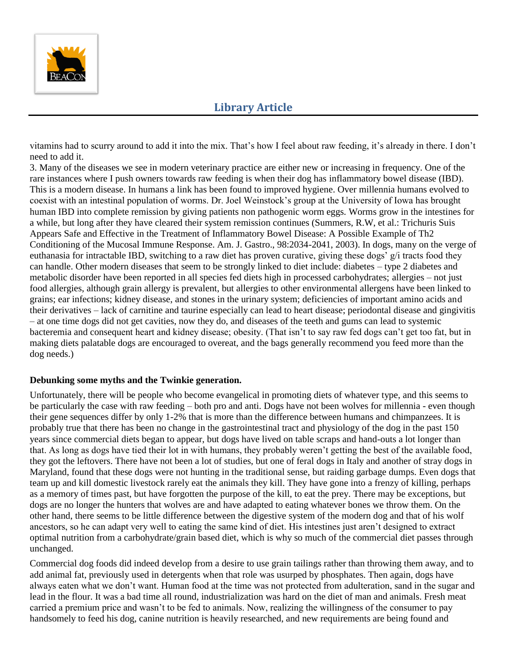

vitamins had to scurry around to add it into the mix. That's how I feel about raw feeding, it's already in there. I don't need to add it.

3. Many of the diseases we see in modern veterinary practice are either new or increasing in frequency. One of the rare instances where I push owners towards raw feeding is when their dog has inflammatory bowel disease (IBD). This is a modern disease. In humans a link has been found to improved hygiene. Over millennia humans evolved to coexist with an intestinal population of worms. Dr. Joel Weinstock's group at the University of Iowa has brought human IBD into complete remission by giving patients non pathogenic worm eggs. Worms grow in the intestines for a while, but long after they have cleared their system remission continues (Summers, R.W, et al.: Trichuris Suis Appears Safe and Effective in the Treatment of Inflammatory Bowel Disease: A Possible Example of Th2 Conditioning of the Mucosal Immune Response. Am. J. Gastro., 98:2034-2041, 2003). In dogs, many on the verge of euthanasia for intractable IBD, switching to a raw diet has proven curative, giving these dogs' g/i tracts food they can handle. Other modern diseases that seem to be strongly linked to diet include: diabetes – type 2 diabetes and metabolic disorder have been reported in all species fed diets high in processed carbohydrates; allergies – not just food allergies, although grain allergy is prevalent, but allergies to other environmental allergens have been linked to grains; ear infections; kidney disease, and stones in the urinary system; deficiencies of important amino acids and their derivatives – lack of carnitine and taurine especially can lead to heart disease; periodontal disease and gingivitis – at one time dogs did not get cavities, now they do, and diseases of the teeth and gums can lead to systemic bacteremia and consequent heart and kidney disease; obesity. (That isn't to say raw fed dogs can't get too fat, but in making diets palatable dogs are encouraged to overeat, and the bags generally recommend you feed more than the dog needs.)

#### **Debunking some myths and the Twinkie generation.**

Unfortunately, there will be people who become evangelical in promoting diets of whatever type, and this seems to be particularly the case with raw feeding – both pro and anti. Dogs have not been wolves for millennia - even though their gene sequences differ by only 1-2% that is more than the difference between humans and chimpanzees. It is probably true that there has been no change in the gastrointestinal tract and physiology of the dog in the past 150 years since commercial diets began to appear, but dogs have lived on table scraps and hand-outs a lot longer than that. As long as dogs have tied their lot in with humans, they probably weren't getting the best of the available food, they got the leftovers. There have not been a lot of studies, but one of feral dogs in Italy and another of stray dogs in Maryland, found that these dogs were not hunting in the traditional sense, but raiding garbage dumps. Even dogs that team up and kill domestic livestock rarely eat the animals they kill. They have gone into a frenzy of killing, perhaps as a memory of times past, but have forgotten the purpose of the kill, to eat the prey. There may be exceptions, but dogs are no longer the hunters that wolves are and have adapted to eating whatever bones we throw them. On the other hand, there seems to be little difference between the digestive system of the modern dog and that of his wolf ancestors, so he can adapt very well to eating the same kind of diet. His intestines just aren't designed to extract optimal nutrition from a carbohydrate/grain based diet, which is why so much of the commercial diet passes through unchanged.

Commercial dog foods did indeed develop from a desire to use grain tailings rather than throwing them away, and to add animal fat, previously used in detergents when that role was usurped by phosphates. Then again, dogs have always eaten what we don't want. Human food at the time was not protected from adulteration, sand in the sugar and lead in the flour. It was a bad time all round, industrialization was hard on the diet of man and animals. Fresh meat carried a premium price and wasn't to be fed to animals. Now, realizing the willingness of the consumer to pay handsomely to feed his dog, canine nutrition is heavily researched, and new requirements are being found and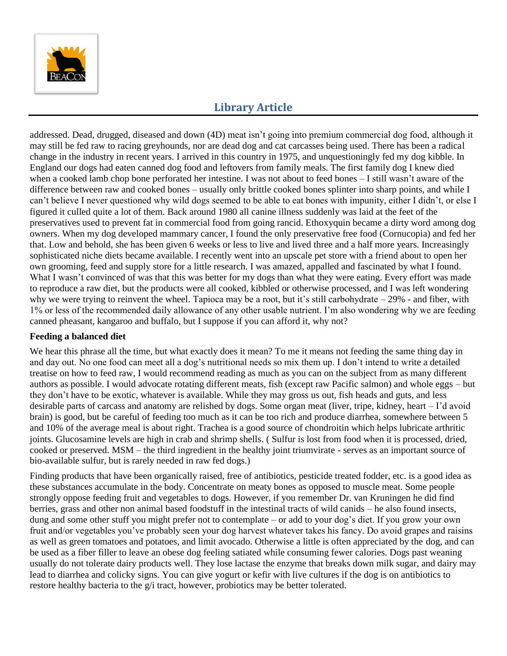

addressed. Dead, drugged, diseased and down (4D) meat isn't going into premium commercial dog food, although it may still be fed raw to racing greyhounds, nor are dead dog and cat carcasses being used. There has been a radical change in the industry in recent years. I arrived in this country in 1975, and unquestioningly fed my dog kibble. In England our dogs had eaten canned dog food and leftovers from family meals. The first family dog I knew died when a cooked lamb chop bone perforated her intestine. I was not about to feed bones – I still wasn't aware of the difference between raw and cooked bones – usually only brittle cooked bones splinter into sharp points, and while I can't believe I never questioned why wild dogs seemed to be able to eat bones with impunity, either I didn't, or else I figured it culled quite a lot of them. Back around 1980 all canine illness suddenly was laid at the feet of the preservatives used to prevent fat in commercial food from going rancid. Ethoxyquin became a dirty word among dog owners. When my dog developed mammary cancer, I found the only preservative free food (Cornucopia) and fed her that. Low and behold, she has been given 6 weeks or less to live and lived three and a half more years. Increasingly sophisticated niche diets became available. I recently went into an upscale pet store with a friend about to open her own grooming, feed and supply store for a little research. I was amazed, appalled and fascinated by what I found. What I wasn't convinced of was that this was better for my dogs than what they were eating. Every effort was made to reproduce a raw diet, but the products were all cooked, kibbled or otherwise processed, and I was left wondering why we were trying to reinvent the wheel. Tapioca may be a root, but it's still carbohydrate – 29% - and fiber, with 1% or less of the recommended daily allowance of any other usable nutrient. I'm also wondering why we are feeding canned pheasant, kangaroo and buffalo, but I suppose if you can afford it, why not?

#### **Feeding a balanced diet**

We hear this phrase all the time, but what exactly does it mean? To me it means not feeding the same thing day in and day out. No one food can meet all a dog's nutritional needs so mix them up. I don't intend to write a detailed treatise on how to feed raw, I would recommend reading as much as you can on the subject from as many different authors as possible. I would advocate rotating different meats, fish (except raw Pacific salmon) and whole eggs – but they don't have to be exotic, whatever is available. While they may gross us out, fish heads and guts, and less desirable parts of carcass and anatomy are relished by dogs. Some organ meat (liver, tripe, kidney, heart – I'd avoid brain) is good, but be careful of feeding too much as it can be too rich and produce diarrhea, somewhere between 5 and 10% of the average meal is about right. Trachea is a good source of chondroitin which helps lubricate arthritic joints. Glucosamine levels are high in crab and shrimp shells. ( Sulfur is lost from food when it is processed, dried, cooked or preserved. MSM – the third ingredient in the healthy joint triumvirate - serves as an important source of bio-available sulfur, but is rarely needed in raw fed dogs.)

Finding products that have been organically raised, free of antibiotics, pesticide treated fodder, etc. is a good idea as these substances accumulate in the body. Concentrate on meaty bones as opposed to muscle meat. Some people strongly oppose feeding fruit and vegetables to dogs. However, if you remember Dr. van Kruningen he did find berries, grass and other non animal based foodstuff in the intestinal tracts of wild canids – he also found insects, dung and some other stuff you might prefer not to contemplate – or add to your dog's diet. If you grow your own fruit and/or vegetables you've probably seen your dog harvest whatever takes his fancy. Do avoid grapes and raisins as well as green tomatoes and potatoes, and limit avocado. Otherwise a little is often appreciated by the dog, and can be used as a fiber filler to leave an obese dog feeling satiated while consuming fewer calories. Dogs past weaning usually do not tolerate dairy products well. They lose lactase the enzyme that breaks down milk sugar, and dairy may lead to diarrhea and colicky signs. You can give yogurt or kefir with live cultures if the dog is on antibiotics to restore healthy bacteria to the g/i tract, however, probiotics may be better tolerated.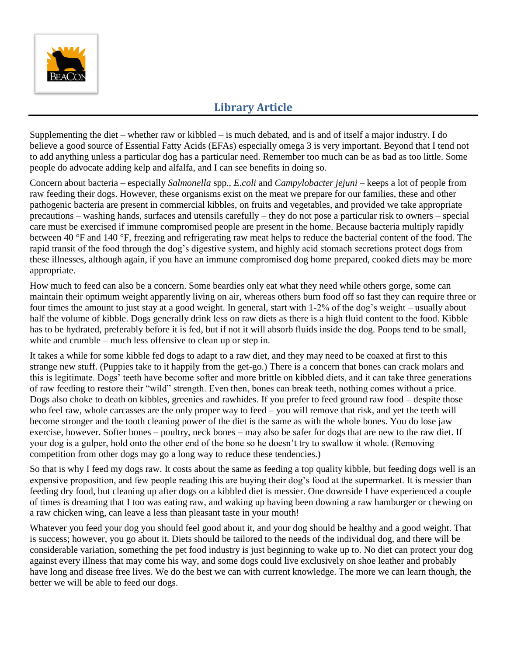

Supplementing the diet – whether raw or kibbled – is much debated, and is and of itself a major industry. I do believe a good source of Essential Fatty Acids (EFAs) especially omega 3 is very important. Beyond that I tend not to add anything unless a particular dog has a particular need. Remember too much can be as bad as too little. Some people do advocate adding kelp and alfalfa, and I can see benefits in doing so.

Concern about bacteria – especially *Salmonella* spp., *E.coli* and *Campylobacter jejuni* – keeps a lot of people from raw feeding their dogs. However, these organisms exist on the meat we prepare for our families, these and other pathogenic bacteria are present in commercial kibbles, on fruits and vegetables, and provided we take appropriate precautions – washing hands, surfaces and utensils carefully – they do not pose a particular risk to owners – special care must be exercised if immune compromised people are present in the home. Because bacteria multiply rapidly between 40 °F and 140 °F, freezing and refrigerating raw meat helps to reduce the bacterial content of the food. The rapid transit of the food through the dog's digestive system, and highly acid stomach secretions protect dogs from these illnesses, although again, if you have an immune compromised dog home prepared, cooked diets may be more appropriate.

How much to feed can also be a concern. Some beardies only eat what they need while others gorge, some can maintain their optimum weight apparently living on air, whereas others burn food off so fast they can require three or four times the amount to just stay at a good weight. In general, start with 1-2% of the dog's weight – usually about half the volume of kibble. Dogs generally drink less on raw diets as there is a high fluid content to the food. Kibble has to be hydrated, preferably before it is fed, but if not it will absorb fluids inside the dog. Poops tend to be small, white and crumble – much less offensive to clean up or step in.

It takes a while for some kibble fed dogs to adapt to a raw diet, and they may need to be coaxed at first to this strange new stuff. (Puppies take to it happily from the get-go.) There is a concern that bones can crack molars and this is legitimate. Dogs' teeth have become softer and more brittle on kibbled diets, and it can take three generations of raw feeding to restore their "wild" strength. Even then, bones can break teeth, nothing comes without a price. Dogs also choke to death on kibbles, greenies and rawhides. If you prefer to feed ground raw food – despite those who feel raw, whole carcasses are the only proper way to feed – you will remove that risk, and yet the teeth will become stronger and the tooth cleaning power of the diet is the same as with the whole bones. You do lose jaw exercise, however. Softer bones – poultry, neck bones – may also be safer for dogs that are new to the raw diet. If your dog is a gulper, hold onto the other end of the bone so he doesn't try to swallow it whole. (Removing competition from other dogs may go a long way to reduce these tendencies.)

So that is why I feed my dogs raw. It costs about the same as feeding a top quality kibble, but feeding dogs well is an expensive proposition, and few people reading this are buying their dog's food at the supermarket. It is messier than feeding dry food, but cleaning up after dogs on a kibbled diet is messier. One downside I have experienced a couple of times is dreaming that I too was eating raw, and waking up having been downing a raw hamburger or chewing on a raw chicken wing, can leave a less than pleasant taste in your mouth!

Whatever you feed your dog you should feel good about it, and your dog should be healthy and a good weight. That is success; however, you go about it. Diets should be tailored to the needs of the individual dog, and there will be considerable variation, something the pet food industry is just beginning to wake up to. No diet can protect your dog against every illness that may come his way, and some dogs could live exclusively on shoe leather and probably have long and disease free lives. We do the best we can with current knowledge. The more we can learn though, the better we will be able to feed our dogs.